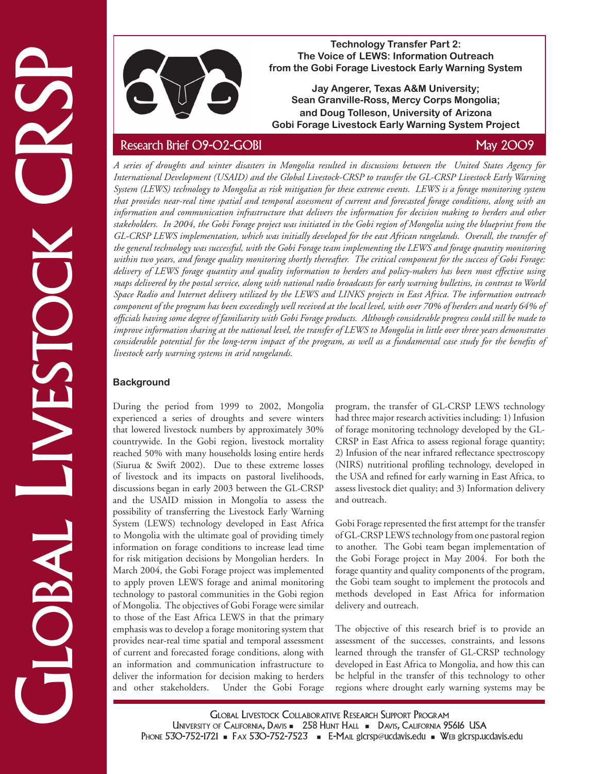

**Technology Transfer Part 2: The Voice of LEWS: Information Outreach from the Gobi Forage Livestock Early Warning System** 

**Jay Angerer, Texas A&M University; Sean Granville-Ross, Mercy Corps Mongolia; and Doug Tolleson, University of Arizona Gobi Forage Livestock Early Warning System Project**

The most constrained the control of the spectral control of the same control of the same control of the control of the control of the control of the control of the control of the control of the control of the control of t *A series of droughts and winter disasters in Mongolia resulted in discussions between the United States Agency for International Development (USAID) and the Global Livestock-CRSP to transfer the GL-CRSP Livestock Early Warning System (LEWS) technology to Mongolia as risk mitigation for these extreme events. LEWS is a forage monitoring system that provides near-real time spatial and temporal assessment of current and forecasted forage conditions, along with an information and communication infrastructure that delivers the information for decision making to herders and other stakeholders. In 2004, the Gobi Forage project was initiated in the Gobi region of Mongolia using the blueprint from the GL-CRSP LEWS implementation, which was initially developed for the east African rangelands. Overall, the transfer of the general technology was successful, with the Gobi Forage team implementing the LEWS and forage quantity monitoring within two years, and forage quality monitoring shortly thereafter. The critical component for the success of Gobi Forage: delivery of LEWS forage quantity and quality information to herders and policy-makers has been most effective using maps delivered by the postal service, along with national radio broadcasts for early warning bulletins, in contrast to World Space Radio and Internet delivery utilized by the LEWS and LINKS projects in East Africa. The information outreach component of the program has been exceedingly well received at the local level, with over 70% of herders and nearly 64% of officials having some degree of familiarity with Gobi Forage products. Although considerable progress could still be made to improve information sharing at the national level, the transfer of LEWS to Mongolia in little over three years demonstrates considerable potential for the long-term impact of the program, as well as a fundamental case study for the benefits of livestock early warning systems in arid rangelands.*

# **Background**

During the period from 1999 to 2002, Mongolia experienced a series of droughts and severe winters that lowered livestock numbers by approximately 30% countrywide. In the Gobi region, livestock mortality reached 50% with many households losing entire herds (Siurua & Swift 2002). Due to these extreme losses of livestock and its impacts on pastoral livelihoods, discussions began in early 2003 between the GL-CRSP and the USAID mission in Mongolia to assess the possibility of transferring the Livestock Early Warning System (LEWS) technology developed in East Africa to Mongolia with the ultimate goal of providing timely information on forage conditions to increase lead time for risk mitigation decisions by Mongolian herders. In March 2004, the Gobi Forage project was implemented to apply proven LEWS forage and animal monitoring technology to pastoral communities in the Gobi region of Mongolia. The objectives of Gobi Forage were similar to those of the East Africa LEWS in that the primary emphasis was to develop a forage monitoring system that provides near-real time spatial and temporal assessment of current and forecasted forage conditions, along with an information and communication infrastructure to deliver the information for decision making to herders Under the Gobi Forage

program, the transfer of GL-CRSP LEWS technology had three major research activities including: 1) Infusion of forage monitoring technology developed by the GL-CRSP in East Africa to assess regional forage quantity; 2) Infusion of the near infrared reflectance spectroscopy (NIRS) nutritional profiling technology, developed in the USA and refined for early warning in East Africa, to assess livestock diet quality; and 3) Information delivery and outreach.

Gobi Forage represented the first attempt for the transfer of GL-CRSP LEWS technology from one pastoral region to another. The Gobi team began implementation of the Gobi Forage project in May 2004. For both the forage quantity and quality components of the program, the Gobi team sought to implement the protocols and methods developed in East Africa for information delivery and outreach.

The objective of this research brief is to provide an assessment of the successes, constraints, and lessons learned through the transfer of GL-CRSP technology developed in East Africa to Mongolia, and how this can be helpful in the transfer of this technology to other regions where drought early warning systems may be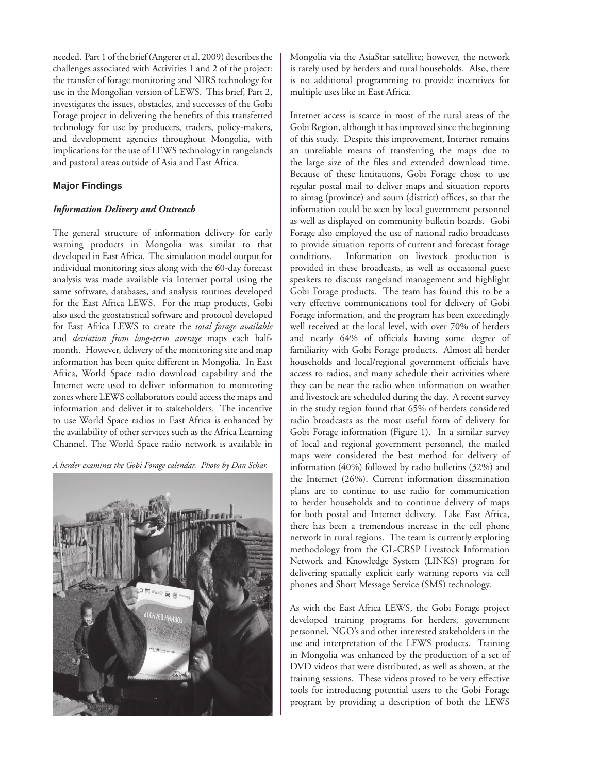needed. Part 1 of the brief (Angerer et al. 2009) describes the challenges associated with Activities 1 and 2 of the project: the transfer of forage monitoring and NIRS technology for use in the Mongolian version of LEWS. This brief, Part 2, investigates the issues, obstacles, and successes of the Gobi Forage project in delivering the benefits of this transferred technology for use by producers, traders, policy-makers, and development agencies throughout Mongolia, with implications for the use of LEWS technology in rangelands and pastoral areas outside of Asia and East Africa.

# **Major Findings**

### *Information Delivery and Outreach*

The general structure of information delivery for early warning products in Mongolia was similar to that developed in East Africa. The simulation model output for individual monitoring sites along with the 60-day forecast analysis was made available via Internet portal using the same software, databases, and analysis routines developed for the East Africa LEWS. For the map products, Gobi also used the geostatistical software and protocol developed for East Africa LEWS to create the *total forage available*  and *deviation from long-term average* maps each halfmonth. However, delivery of the monitoring site and map information has been quite different in Mongolia. In East Africa, World Space radio download capability and the Internet were used to deliver information to monitoring zones where LEWS collaborators could access the maps and information and deliver it to stakeholders. The incentive to use World Space radios in East Africa is enhanced by the availability of other services such as the Africa Learning Channel. The World Space radio network is available in

*A herder examines the Gobi Forage calendar. Photo by Dan Schar.*



Mongolia via the AsiaStar satellite; however, the network is rarely used by herders and rural households. Also, there is no additional programming to provide incentives for multiple uses like in East Africa.

Internet access is scarce in most of the rural areas of the Gobi Region, although it has improved since the beginning of this study. Despite this improvement, Internet remains an unreliable means of transferring the maps due to the large size of the files and extended download time. Because of these limitations, Gobi Forage chose to use regular postal mail to deliver maps and situation reports to aimag (province) and soum (district) offices, so that the information could be seen by local government personnel as well as displayed on community bulletin boards. Gobi Forage also employed the use of national radio broadcasts to provide situation reports of current and forecast forage conditions. Information on livestock production is provided in these broadcasts, as well as occasional guest speakers to discuss rangeland management and highlight Gobi Forage products. The team has found this to be a very effective communications tool for delivery of Gobi Forage information, and the program has been exceedingly well received at the local level, with over 70% of herders and nearly 64% of officials having some degree of familiarity with Gobi Forage products. Almost all herder households and local/regional government officials have access to radios, and many schedule their activities where they can be near the radio when information on weather and livestock are scheduled during the day. A recent survey in the study region found that 65% of herders considered radio broadcasts as the most useful form of delivery for Gobi Forage information (Figure 1). In a similar survey of local and regional government personnel, the mailed maps were considered the best method for delivery of information (40%) followed by radio bulletins (32%) and the Internet (26%). Current information dissemination plans are to continue to use radio for communication to herder households and to continue delivery of maps for both postal and Internet delivery. Like East Africa, there has been a tremendous increase in the cell phone network in rural regions. The team is currently exploring methodology from the GL-CRSP Livestock Information Network and Knowledge System (LINKS) program for delivering spatially explicit early warning reports via cell phones and Short Message Service (SMS) technology.

As with the East Africa LEWS, the Gobi Forage project developed training programs for herders, government personnel, NGO's and other interested stakeholders in the use and interpretation of the LEWS products. Training in Mongolia was enhanced by the production of a set of DVD videos that were distributed, as well as shown, at the training sessions. These videos proved to be very effective tools for introducing potential users to the Gobi Forage program by providing a description of both the LEWS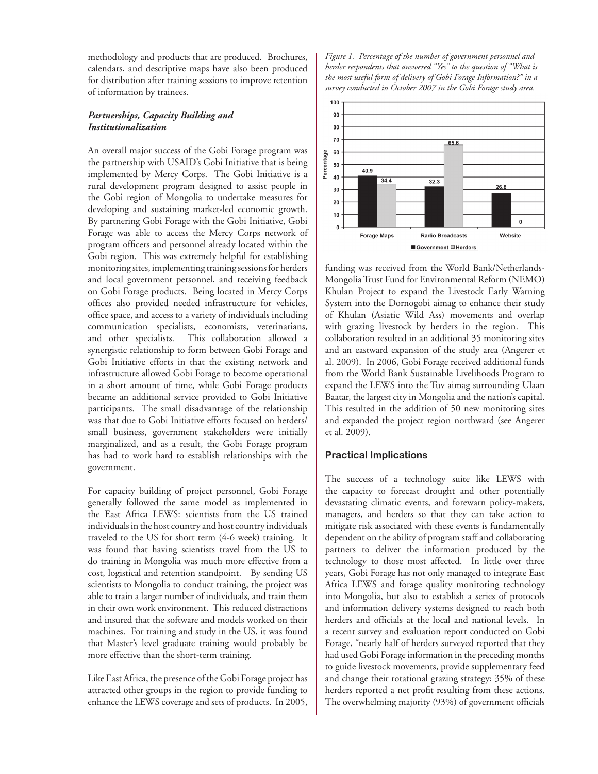methodology and products that are produced. Brochures, calendars, and descriptive maps have also been produced for distribution after training sessions to improve retention of information by trainees.

# *Partnerships, Capacity Building and Institutionalization*

An overall major success of the Gobi Forage program was the partnership with USAID's Gobi Initiative that is being implemented by Mercy Corps. The Gobi Initiative is a rural development program designed to assist people in the Gobi region of Mongolia to undertake measures for developing and sustaining market-led economic growth. By partnering Gobi Forage with the Gobi Initiative, Gobi Forage was able to access the Mercy Corps network of program officers and personnel already located within the Gobi region. This was extremely helpful for establishing monitoring sites, implementing training sessions for herders and local government personnel, and receiving feedback on Gobi Forage products. Being located in Mercy Corps offices also provided needed infrastructure for vehicles, office space, and access to a variety of individuals including communication specialists, economists, veterinarians, and other specialists. This collaboration allowed a synergistic relationship to form between Gobi Forage and Gobi Initiative efforts in that the existing network and infrastructure allowed Gobi Forage to become operational in a short amount of time, while Gobi Forage products became an additional service provided to Gobi Initiative participants. The small disadvantage of the relationship was that due to Gobi Initiative efforts focused on herders/ small business, government stakeholders were initially marginalized, and as a result, the Gobi Forage program has had to work hard to establish relationships with the government.

For capacity building of project personnel, Gobi Forage generally followed the same model as implemented in the East Africa LEWS: scientists from the US trained individuals in the host country and host country individuals traveled to the US for short term (4-6 week) training. It was found that having scientists travel from the US to do training in Mongolia was much more effective from a cost, logistical and retention standpoint. By sending US scientists to Mongolia to conduct training, the project was able to train a larger number of individuals, and train them in their own work environment. This reduced distractions and insured that the software and models worked on their machines. For training and study in the US, it was found that Master's level graduate training would probably be more effective than the short-term training.

Like East Africa, the presence of the Gobi Forage project has attracted other groups in the region to provide funding to enhance the LEWS coverage and sets of products. In 2005,

*Figure 1. Percentage of the number of government personnel and herder respondents that answered "Yes" to the question of "What is the most useful form of delivery of Gobi Forage Information?" in a survey conducted in October 2007 in the Gobi Forage study area.*



funding was received from the World Bank/Netherlands-Mongolia Trust Fund for Environmental Reform (NEMO) Khulan Project to expand the Livestock Early Warning System into the Dornogobi aimag to enhance their study of Khulan (Asiatic Wild Ass) movements and overlap with grazing livestock by herders in the region. This collaboration resulted in an additional 35 monitoring sites and an eastward expansion of the study area (Angerer et al. 2009). In 2006, Gobi Forage received additional funds from the World Bank Sustainable Livelihoods Program to expand the LEWS into the Tuv aimag surrounding Ulaan Baatar, the largest city in Mongolia and the nation's capital. This resulted in the addition of 50 new monitoring sites and expanded the project region northward (see Angerer et al. 2009).

# **Practical Implications**

The success of a technology suite like LEWS with the capacity to forecast drought and other potentially devastating climatic events, and forewarn policy-makers, managers, and herders so that they can take action to mitigate risk associated with these events is fundamentally dependent on the ability of program staff and collaborating partners to deliver the information produced by the technology to those most affected. In little over three years, Gobi Forage has not only managed to integrate East Africa LEWS and forage quality monitoring technology into Mongolia, but also to establish a series of protocols and information delivery systems designed to reach both herders and officials at the local and national levels. In a recent survey and evaluation report conducted on Gobi Forage, "nearly half of herders surveyed reported that they had used Gobi Forage information in the preceding months to guide livestock movements, provide supplementary feed and change their rotational grazing strategy; 35% of these herders reported a net profit resulting from these actions. The overwhelming majority (93%) of government officials